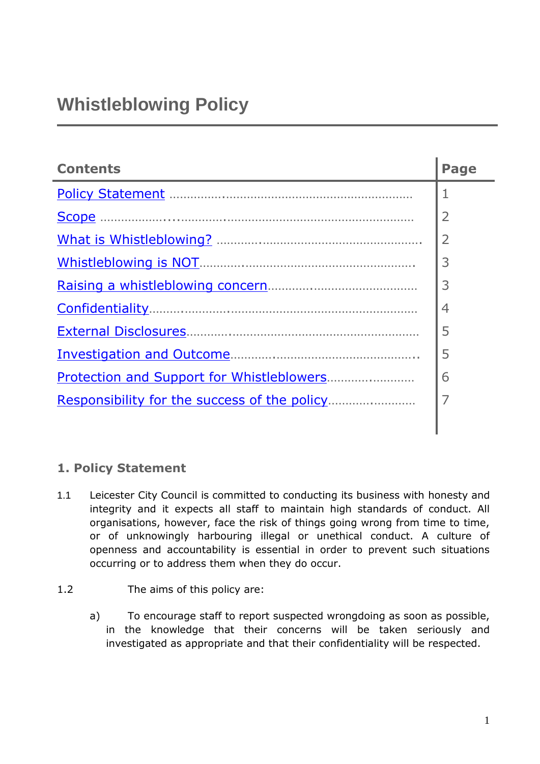# **Whistleblowing Policy**

| <b>Contents</b> | Page           |
|-----------------|----------------|
|                 | 1              |
|                 | $\overline{2}$ |
|                 | 2              |
|                 | 3              |
|                 | 3              |
| Confidentiality | 4              |
|                 | 5              |
|                 | 5              |
|                 | 6              |
|                 |                |

# <span id="page-0-0"></span>**1. Policy Statement**

1.1 Leicester City Council is committed to conducting its business with honesty and integrity and it expects all staff to maintain high standards of conduct. All organisations, however, face the risk of things going wrong from time to time, or of unknowingly harbouring illegal or unethical conduct. A culture of openness and accountability is essential in order to prevent such situations occurring or to address them when they do occur.

#### 1.2 The aims of this policy are:

a) To encourage staff to report suspected wrongdoing as soon as possible, in the knowledge that their concerns will be taken seriously and investigated as appropriate and that their confidentiality will be respected.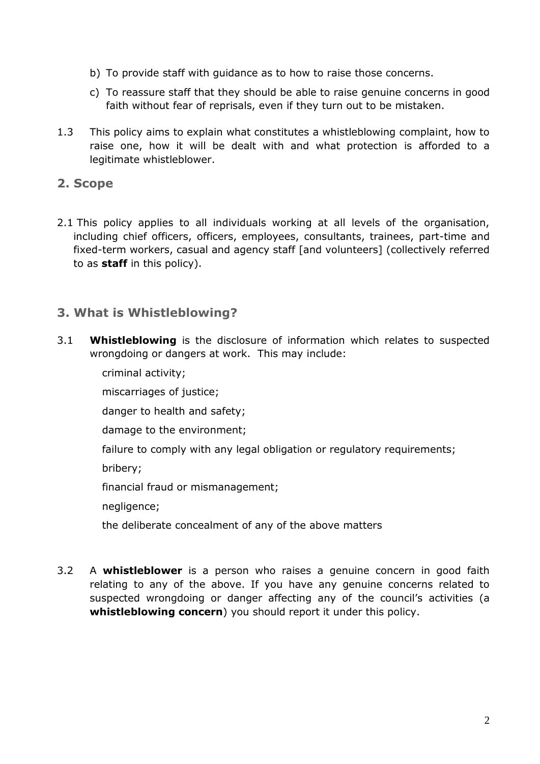- b) To provide staff with guidance as to how to raise those concerns.
- c) To reassure staff that they should be able to raise genuine concerns in good faith without fear of reprisals, even if they turn out to be mistaken.
- 1.3 This policy aims to explain what constitutes a whistleblowing complaint, how to raise one, how it will be dealt with and what protection is afforded to a legitimate whistleblower.

#### <span id="page-1-0"></span>**2. Scope**

2.1 This policy applies to all individuals working at all levels of the organisation, including chief officers, officers, employees, consultants, trainees, part-time and fixed-term workers, casual and agency staff [and volunteers] (collectively referred to as **staff** in this policy).

#### <span id="page-1-1"></span>**3. What is Whistleblowing?**

- 3.1 **Whistleblowing** is the disclosure of information which relates to suspected wrongdoing or dangers at work. This may include:
	- criminal activity;
	- miscarriages of justice;
	- danger to health and safety;
	- damage to the environment;
	- failure to comply with any legal obligation or regulatory requirements;
	- bribery;
	- financial fraud or mismanagement;
	- negligence;
	- the deliberate concealment of any of the above matters
- 3.2 A **whistleblower** is a person who raises a genuine concern in good faith relating to any of the above. If you have any genuine concerns related to suspected wrongdoing or danger affecting any of the council's activities (a **whistleblowing concern**) you should report it under this policy.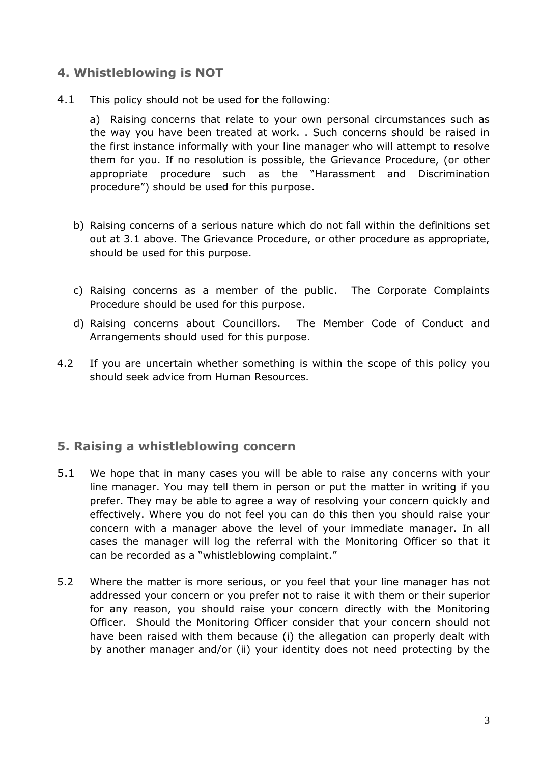## <span id="page-2-0"></span>**4. Whistleblowing is NOT**

4.1 This policy should not be used for the following:

a) Raising concerns that relate to your own personal circumstances such as the way you have been treated at work. . Such concerns should be raised in the first instance informally with your line manager who will attempt to resolve them for you. If no resolution is possible, the Grievance Procedure, (or other appropriate procedure such as the "Harassment and Discrimination procedure") should be used for this purpose.

- b) Raising concerns of a serious nature which do not fall within the definitions set out at 3.1 above. The Grievance Procedure, or other procedure as appropriate, should be used for this purpose.
- c) Raising concerns as a member of the public. The Corporate Complaints Procedure should be used for this purpose.
- d) Raising concerns about Councillors. The Member Code of Conduct and Arrangements should used for this purpose.
- 4.2 If you are uncertain whether something is within the scope of this policy you should seek advice from Human Resources.

## <span id="page-2-1"></span>**5. Raising a whistleblowing concern**

- 5.1 We hope that in many cases you will be able to raise any concerns with your line manager. You may tell them in person or put the matter in writing if you prefer. They may be able to agree a way of resolving your concern quickly and effectively. Where you do not feel you can do this then you should raise your concern with a manager above the level of your immediate manager. In all cases the manager will log the referral with the Monitoring Officer so that it can be recorded as a "whistleblowing complaint."
- 5.2 Where the matter is more serious, or you feel that your line manager has not addressed your concern or you prefer not to raise it with them or their superior for any reason, you should raise your concern directly with the Monitoring Officer. Should the Monitoring Officer consider that your concern should not have been raised with them because (i) the allegation can properly dealt with by another manager and/or (ii) your identity does not need protecting by the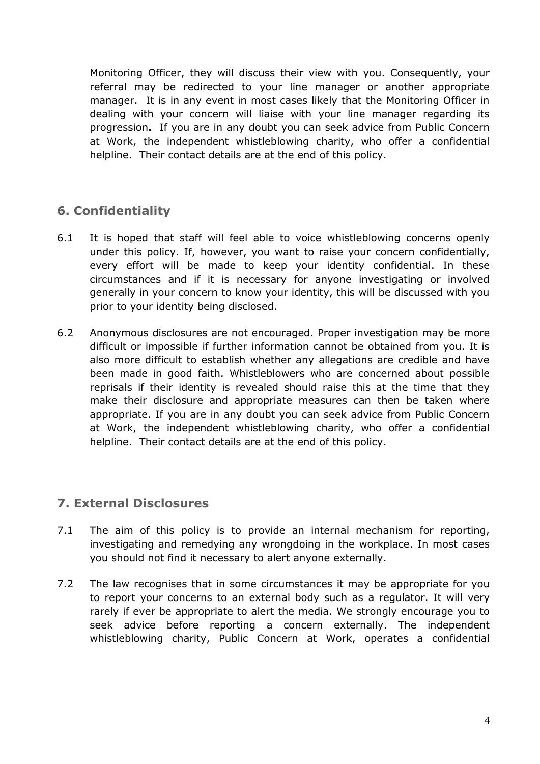Monitoring Officer, they will discuss their view with you. Consequently, your referral may be redirected to your line manager or another appropriate manager. It is in any event in most cases likely that the Monitoring Officer in dealing with your concern will liaise with your line manager regarding its progression**.** If you are in any doubt you can seek advice from Public Concern at Work, the independent whistleblowing charity, who offer a confidential helpline. Their contact details are at the end of this policy.

# <span id="page-3-0"></span>**6. Confidentiality**

- 6.1 It is hoped that staff will feel able to voice whistleblowing concerns openly under this policy. If, however, you want to raise your concern confidentially, every effort will be made to keep your identity confidential. In these circumstances and if it is necessary for anyone investigating or involved generally in your concern to know your identity, this will be discussed with you prior to your identity being disclosed.
- 6.2 Anonymous disclosures are not encouraged. Proper investigation may be more difficult or impossible if further information cannot be obtained from you. It is also more difficult to establish whether any allegations are credible and have been made in good faith. Whistleblowers who are concerned about possible reprisals if their identity is revealed should raise this at the time that they make their disclosure and appropriate measures can then be taken where appropriate. If you are in any doubt you can seek advice from Public Concern at Work, the independent whistleblowing charity, who offer a confidential helpline. Their contact details are at the end of this policy.

## <span id="page-3-1"></span>**7. External Disclosures**

- 7.1 The aim of this policy is to provide an internal mechanism for reporting, investigating and remedying any wrongdoing in the workplace. In most cases you should not find it necessary to alert anyone externally.
- 7.2 The law recognises that in some circumstances it may be appropriate for you to report your concerns to an external body such as a regulator. It will very rarely if ever be appropriate to alert the media. We strongly encourage you to seek advice before reporting a concern externally. The independent whistleblowing charity, Public Concern at Work, operates a confidential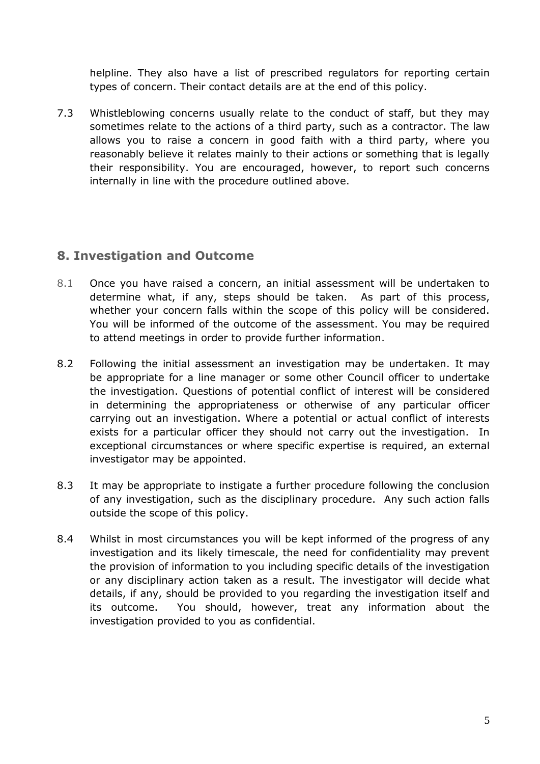helpline. They also have a list of prescribed regulators for reporting certain types of concern. Their contact details are at the end of this policy.

7.3 Whistleblowing concerns usually relate to the conduct of staff, but they may sometimes relate to the actions of a third party, such as a contractor. The law allows you to raise a concern in good faith with a third party, where you reasonably believe it relates mainly to their actions or something that is legally their responsibility. You are encouraged, however, to report such concerns internally in line with the procedure outlined above.

## <span id="page-4-0"></span>**8. Investigation and Outcome**

- 8.1 Once you have raised a concern, an initial assessment will be undertaken to determine what, if any, steps should be taken. As part of this process, whether your concern falls within the scope of this policy will be considered. You will be informed of the outcome of the assessment. You may be required to attend meetings in order to provide further information.
- 8.2 Following the initial assessment an investigation may be undertaken. It may be appropriate for a line manager or some other Council officer to undertake the investigation. Questions of potential conflict of interest will be considered in determining the appropriateness or otherwise of any particular officer carrying out an investigation. Where a potential or actual conflict of interests exists for a particular officer they should not carry out the investigation. In exceptional circumstances or where specific expertise is required, an external investigator may be appointed.
- 8.3 It may be appropriate to instigate a further procedure following the conclusion of any investigation, such as the disciplinary procedure. Any such action falls outside the scope of this policy.
- 8.4 Whilst in most circumstances you will be kept informed of the progress of any investigation and its likely timescale, the need for confidentiality may prevent the provision of information to you including specific details of the investigation or any disciplinary action taken as a result. The investigator will decide what details, if any, should be provided to you regarding the investigation itself and its outcome. You should, however, treat any information about the investigation provided to you as confidential.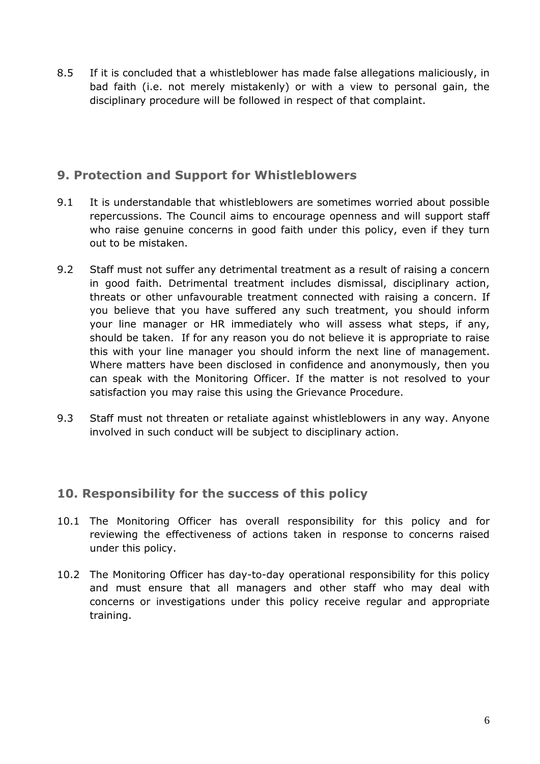8.5 If it is concluded that a whistleblower has made false allegations maliciously, in bad faith (i.e. not merely mistakenly) or with a view to personal gain, the disciplinary procedure will be followed in respect of that complaint.

## <span id="page-5-0"></span>**9. Protection and Support for Whistleblowers**

- 9.1 It is understandable that whistleblowers are sometimes worried about possible repercussions. The Council aims to encourage openness and will support staff who raise genuine concerns in good faith under this policy, even if they turn out to be mistaken.
- 9.2 Staff must not suffer any detrimental treatment as a result of raising a concern in good faith. Detrimental treatment includes dismissal, disciplinary action, threats or other unfavourable treatment connected with raising a concern. If you believe that you have suffered any such treatment, you should inform your line manager or HR immediately who will assess what steps, if any, should be taken. If for any reason you do not believe it is appropriate to raise this with your line manager you should inform the next line of management. Where matters have been disclosed in confidence and anonymously, then you can speak with the Monitoring Officer. If the matter is not resolved to your satisfaction you may raise this using the Grievance Procedure.
- 9.3 Staff must not threaten or retaliate against whistleblowers in any way. Anyone involved in such conduct will be subject to disciplinary action.

## <span id="page-5-1"></span>**10. Responsibility for the success of this policy**

- 10.1 The Monitoring Officer has overall responsibility for this policy and for reviewing the effectiveness of actions taken in response to concerns raised under this policy.
- 10.2 The Monitoring Officer has day-to-day operational responsibility for this policy and must ensure that all managers and other staff who may deal with concerns or investigations under this policy receive regular and appropriate training.